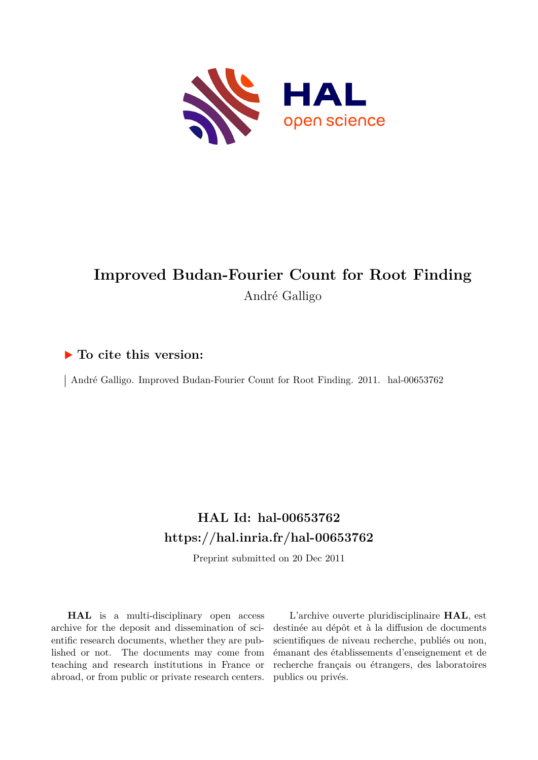

# **Improved Budan-Fourier Count for Root Finding** André Galligo

# **To cite this version:**

| André Galligo. Improved Budan-Fourier Count for Root Finding. 2011. hal-00653762

# **HAL Id: hal-00653762 <https://hal.inria.fr/hal-00653762>**

Preprint submitted on 20 Dec 2011

**HAL** is a multi-disciplinary open access archive for the deposit and dissemination of scientific research documents, whether they are published or not. The documents may come from teaching and research institutions in France or abroad, or from public or private research centers.

L'archive ouverte pluridisciplinaire **HAL**, est destinée au dépôt et à la diffusion de documents scientifiques de niveau recherche, publiés ou non, émanant des établissements d'enseignement et de recherche français ou étrangers, des laboratoires publics ou privés.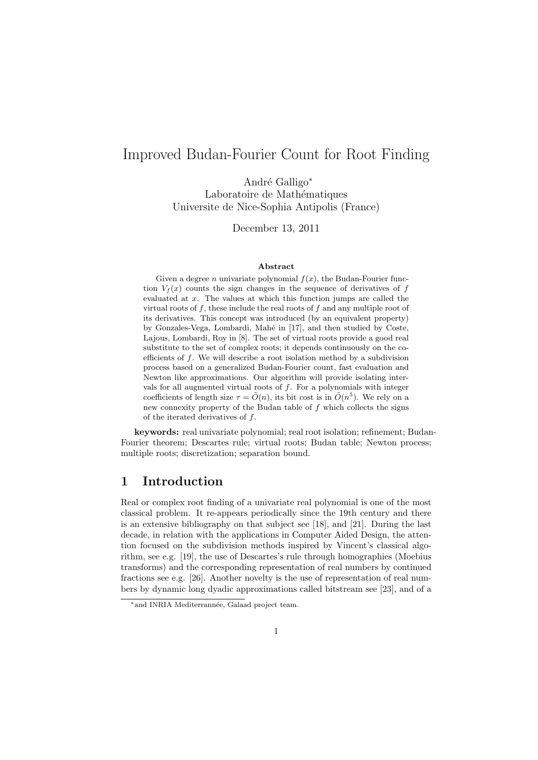# Improved Budan-Fourier Count for Root Finding

Andr´e Galligo*<sup>∗</sup>* Laboratoire de Mathématiques Universite de Nice-Sophia Antipolis (France)

December 13, 2011

#### **Abstract**

Given a degree *n* univariate polynomial  $f(x)$ , the Budan-Fourier function  $V_f(x)$  counts the sign changes in the sequence of derivatives of  $f$ evaluated at *x*. The values at which this function jumps are called the virtual roots of *f*, these include the real roots of *f* and any multiple root of its derivatives. This concept was introduced (by an equivalent property) by Gonzales-Vega, Lombardi, Mahé in [17], and then studied by Coste, Lajous, Lombardi, Roy in [8]. The set of virtual roots provide a good real substitute to the set of complex roots; it depends continuously on the coefficients of *f*. We will describe a root isolation method by a subdivision process based on a generalized Budan-Fourier count, fast evaluation and Newton like approximations. Our algorithm will provide isolating intervals for all augmented virtual roots of *f*. For a polynomials with integer coefficients of length size  $\tau = \tilde{O}(n)$ , its bit cost is in  $\tilde{O}(n^5)$ . We rely on a new connexity property of the Budan table of *f* which collects the signs of the iterated derivatives of *f*.

**keywords:** real univariate polynomial; real root isolation; refinement; Budan-Fourier theorem; Descartes rule; virtual roots; Budan table; Newton process; multiple roots; discretization; separation bound.

## **1 Introduction**

Real or complex root finding of a univariate real polynomial is one of the most classical problem. It re-appears periodically since the 19th century and there is an extensive bibliography on that subject see [18], and [21]. During the last decade, in relation with the applications in Computer Aided Design, the attention focused on the subdivision methods inspired by Vincent's classical algorithm, see e.g. [19], the use of Descartes's rule through homographies (Moebius transforms) and the corresponding representation of real numbers by continued fractions see e.g. [26]. Another novelty is the use of representation of real numbers by dynamic long dyadic approximations called bitstream see [23], and of a

<sup>&</sup>lt;sup>\*</sup>and INRIA Mediterrannée, Galaad project team.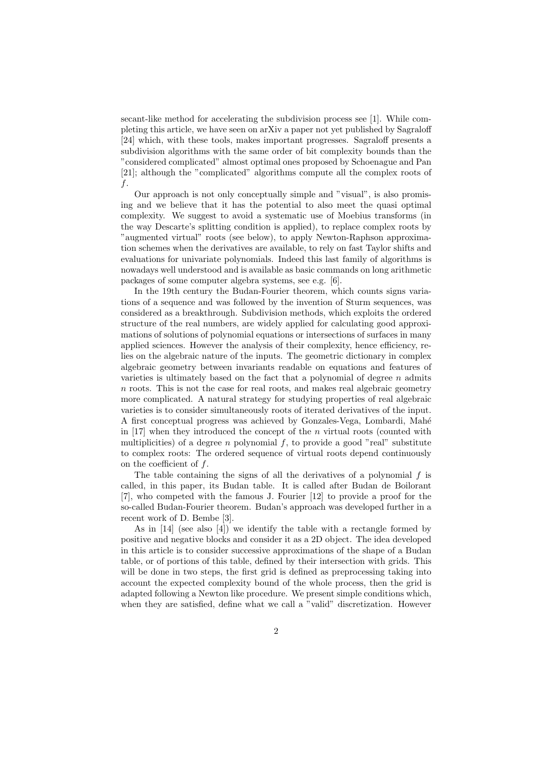secant-like method for accelerating the subdivision process see [1]. While completing this article, we have seen on arXiv a paper not yet published by Sagraloff [24] which, with these tools, makes important progresses. Sagraloff presents a subdivision algorithms with the same order of bit complexity bounds than the "considered complicated" almost optimal ones proposed by Schoenague and Pan [21]; although the "complicated" algorithms compute all the complex roots of *f*.

Our approach is not only conceptually simple and "visual", is also promising and we believe that it has the potential to also meet the quasi optimal complexity. We suggest to avoid a systematic use of Moebius transforms (in the way Descarte's splitting condition is applied), to replace complex roots by "augmented virtual" roots (see below), to apply Newton-Raphson approximation schemes when the derivatives are available, to rely on fast Taylor shifts and evaluations for univariate polynomials. Indeed this last family of algorithms is nowadays well understood and is available as basic commands on long arithmetic packages of some computer algebra systems, see e.g. [6].

In the 19th century the Budan-Fourier theorem, which counts signs variations of a sequence and was followed by the invention of Sturm sequences, was considered as a breakthrough. Subdivision methods, which exploits the ordered structure of the real numbers, are widely applied for calculating good approximations of solutions of polynomial equations or intersections of surfaces in many applied sciences. However the analysis of their complexity, hence efficiency, relies on the algebraic nature of the inputs. The geometric dictionary in complex algebraic geometry between invariants readable on equations and features of varieties is ultimately based on the fact that a polynomial of degree *n* admits *n* roots. This is not the case for real roots, and makes real algebraic geometry more complicated. A natural strategy for studying properties of real algebraic varieties is to consider simultaneously roots of iterated derivatives of the input. A first conceptual progress was achieved by Gonzales-Vega, Lombardi, Mah´e in [17] when they introduced the concept of the *n* virtual roots (counted with multiplicities) of a degree *n* polynomial *f*, to provide a good "real" substitute to complex roots: The ordered sequence of virtual roots depend continuously on the coefficient of *f*.

The table containing the signs of all the derivatives of a polynomial *f* is called, in this paper, its Budan table. It is called after Budan de Boilorant [7], who competed with the famous J. Fourier [12] to provide a proof for the so-called Budan-Fourier theorem. Budan's approach was developed further in a recent work of D. Bembe [3].

As in [14] (see also [4]) we identify the table with a rectangle formed by positive and negative blocks and consider it as a 2D object. The idea developed in this article is to consider successive approximations of the shape of a Budan table, or of portions of this table, defined by their intersection with grids. This will be done in two steps, the first grid is defined as preprocessing taking into account the expected complexity bound of the whole process, then the grid is adapted following a Newton like procedure. We present simple conditions which, when they are satisfied, define what we call a "valid" discretization. However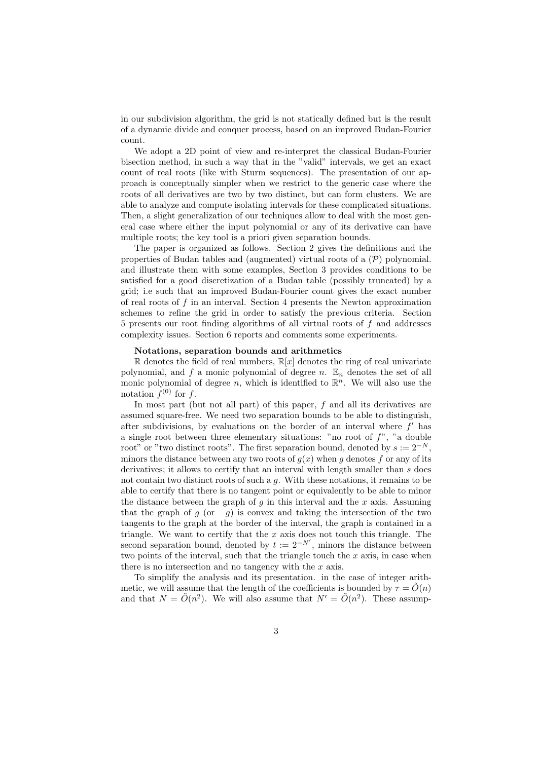in our subdivision algorithm, the grid is not statically defined but is the result of a dynamic divide and conquer process, based on an improved Budan-Fourier count.

We adopt a 2D point of view and re-interpret the classical Budan-Fourier bisection method, in such a way that in the "valid" intervals, we get an exact count of real roots (like with Sturm sequences). The presentation of our approach is conceptually simpler when we restrict to the generic case where the roots of all derivatives are two by two distinct, but can form clusters. We are able to analyze and compute isolating intervals for these complicated situations. Then, a slight generalization of our techniques allow to deal with the most general case where either the input polynomial or any of its derivative can have multiple roots; the key tool is a priori given separation bounds.

The paper is organized as follows. Section 2 gives the definitions and the properties of Budan tables and (augmented) virtual roots of a (*P*) polynomial. and illustrate them with some examples, Section 3 provides conditions to be satisfied for a good discretization of a Budan table (possibly truncated) by a grid; i.e such that an improved Budan-Fourier count gives the exact number of real roots of *f* in an interval. Section 4 presents the Newton approximation schemes to refine the grid in order to satisfy the previous criteria. Section 5 presents our root finding algorithms of all virtual roots of *f* and addresses complexity issues. Section 6 reports and comments some experiments.

#### **Notations, separation bounds and arithmetics**

R denotes the field of real numbers,  $\mathbb{R}[x]$  denotes the ring of real univariate polynomial, and  $f$  a monic polynomial of degree  $n$ .  $\mathbb{E}_n$  denotes the set of all monic polynomial of degree  $n$ , which is identified to  $\mathbb{R}^n$ . We will also use the notation  $f^{(0)}$  for  $f$ .

In most part (but not all part) of this paper, *f* and all its derivatives are assumed square-free. We need two separation bounds to be able to distinguish, after subdivisions, by evaluations on the border of an interval where  $f'$  has a single root between three elementary situations: "no root of *f*", "a double root" or "two distinct roots". The first separation bound, denoted by  $s := 2^{-N}$ . minors the distance between any two roots of  $g(x)$  when  $g$  denotes  $f$  or any of its derivatives; it allows to certify that an interval with length smaller than *s* does not contain two distinct roots of such a *g*. With these notations, it remains to be able to certify that there is no tangent point or equivalently to be able to minor the distance between the graph of *g* in this interval and the *x* axis. Assuming that the graph of *g* (or  $-q$ ) is convex and taking the intersection of the two tangents to the graph at the border of the interval, the graph is contained in a triangle. We want to certify that the *x* axis does not touch this triangle. The second separation bound, denoted by  $t := 2^{-N'}$ , minors the distance between two points of the interval, such that the triangle touch the *x* axis, in case when there is no intersection and no tangency with the *x* axis.

To simplify the analysis and its presentation. in the case of integer arithmetic, we will assume that the length of the coefficients is bounded by  $\tau = \tilde{O}(n)$ and that  $N = \tilde{O}(n^2)$ . We will also assume that  $N' = \tilde{O}(n^2)$ . These assump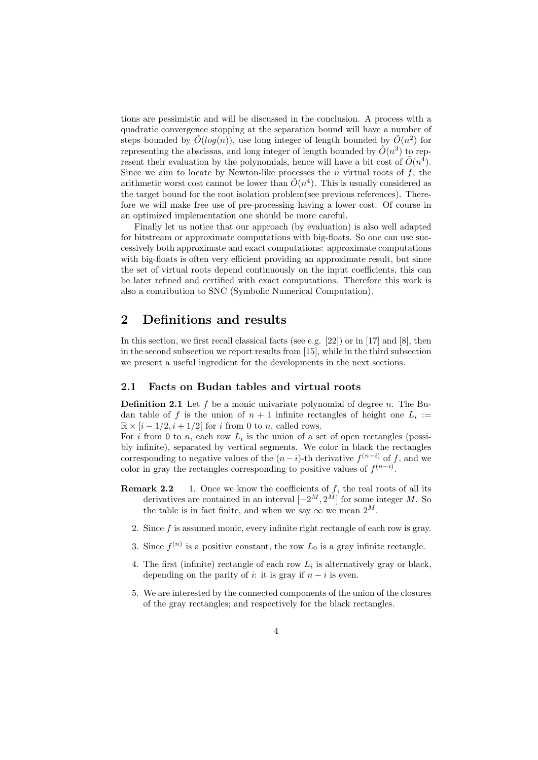tions are pessimistic and will be discussed in the conclusion. A process with a quadratic convergence stopping at the separation bound will have a number of steps bounded by  $\tilde{O}(log(n))$ , use long integer of length bounded by  $\tilde{O}(n^2)$  for representing the abscissas, and long integer of length bounded by  $\tilde{O}(n^3)$  to represent their evaluation by the polynomials, hence will have a bit cost of  $\tilde{O}(n^4)$ . Since we aim to locate by Newton-like processes the *n* virtual roots of *f*, the arithmetic worst cost cannot be lower than  $\tilde{O}(n^4)$ . This is usually considered as the target bound for the root isolation problem(see previous references). Therefore we will make free use of pre-processing having a lower cost. Of course in an optimized implementation one should be more careful.

Finally let us notice that our approach (by evaluation) is also well adapted for bitstream or approximate computations with big-floats. So one can use successively both approximate and exact computations: approximate computations with big-floats is often very efficient providing an approximate result, but since the set of virtual roots depend continuously on the input coefficients, this can be later refined and certified with exact computations. Therefore this work is also a contribution to SNC (Symbolic Numerical Computation).

## **2 Definitions and results**

In this section, we first recall classical facts (see e.g. [22]) or in [17] and [8], then in the second subsection we report results from [15], while in the third subsection we present a useful ingredient for the developments in the next sections.

#### **2.1 Facts on Budan tables and virtual roots**

**Definition 2.1** Let *f* be a monic univariate polynomial of degree *n*. The Budan table of *f* is the union of  $n + 1$  infinite rectangles of height one  $L_i :=$  $\mathbb{R} \times [i - 1/2, i + 1/2]$  for *i* from 0 to *n*, called rows.

For  $i$  from 0 to  $n$ , each row  $L_i$  is the union of a set of open rectangles (possibly infinite), separated by vertical segments. We color in black the rectangles corresponding to negative values of the  $(n-i)$ -th derivative  $f^{(n-i)}$  of f, and we color in gray the rectangles corresponding to positive values of  $f^{(n-i)}$ .

- **Remark 2.2** 1. Once we know the coefficients of f, the real roots of all its derivatives are contained in an interval  $[-2^M, 2^M]$  for some integer *M*. So the table is in fact finite, and when we say  $\infty$  we mean  $2^M$ .
	- 2. Since *f* is assumed monic, every infinite right rectangle of each row is gray.
	- 3. Since  $f^{(n)}$  is a positive constant, the row  $L_0$  is a gray infinite rectangle.
	- 4. The first (infinite) rectangle of each row  $L_i$  is alternatively gray or black, depending on the parity of *i*: it is gray if  $n - i$  is even.
	- 5. We are interested by the connected components of the union of the closures of the gray rectangles; and respectively for the black rectangles.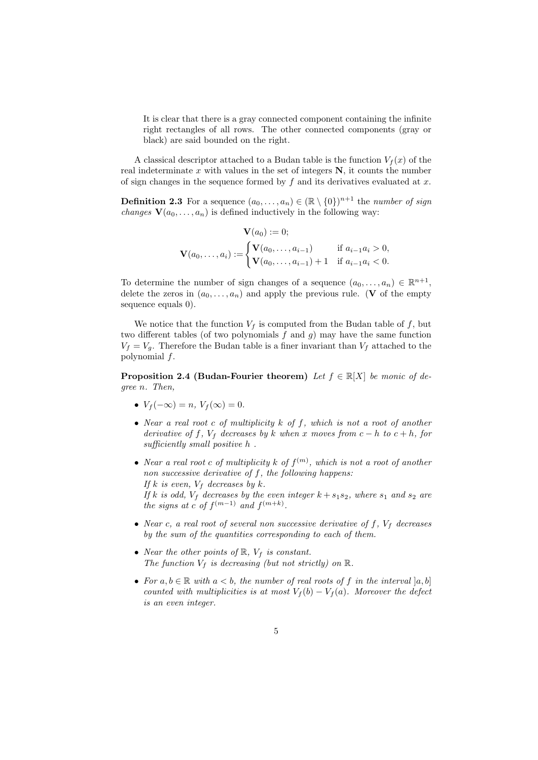It is clear that there is a gray connected component containing the infinite right rectangles of all rows. The other connected components (gray or black) are said bounded on the right.

A classical descriptor attached to a Budan table is the function  $V_f(x)$  of the real indeterminate  $x$  with values in the set of integers  $N$ , it counts the number of sign changes in the sequence formed by *f* and its derivatives evaluated at *x*.

**Definition 2.3** For a sequence  $(a_0, \ldots, a_n) \in (\mathbb{R} \setminus \{0\})^{n+1}$  the *number of sign changes*  $V(a_0, \ldots, a_n)$  is defined inductively in the following way:

$$
\mathbf{V}(a_0) := 0;
$$
  

$$
\mathbf{V}(a_0, ..., a_i) := \begin{cases} \mathbf{V}(a_0, ..., a_{i-1}) & \text{if } a_{i-1}a_i > 0, \\ \mathbf{V}(a_0, ..., a_{i-1}) + 1 & \text{if } a_{i-1}a_i < 0. \end{cases}
$$

To determine the number of sign changes of a sequence  $(a_0, \ldots, a_n) \in \mathbb{R}^{n+1}$ , delete the zeros in  $(a_0, \ldots, a_n)$  and apply the previous rule. (**V** of the empty sequence equals 0).

We notice that the function  $V_f$  is computed from the Budan table of  $f$ , but two different tables (of two polynomials *f* and *g*) may have the same function  $V_f = V_g$ . Therefore the Budan table is a finer invariant than  $V_f$  attached to the polynomial *f*.

**Proposition 2.4 (Budan-Fourier theorem)** *Let*  $f \in \mathbb{R}[X]$  *be monic of degree n. Then,*

- $V_f(-\infty) = n, V_f(\infty) = 0.$
- *• Near a real root c of multiplicity k of f, which is not a root of another derivative of*  $f$ *,*  $V_f$  *decreases by*  $k$  *when*  $x$  *moves* from  $c - h$  *to*  $c + h$ *, for sufficiently small positive h .*
- *• Near a real root c of multiplicity k of f* (*m*) *, which is not a root of another non successive derivative of f, the following happens: If*  $k$  *is even,*  $V_f$  *decreases by*  $k$ *. If*  $k$  *is odd,*  $V_f$  *decreases* by the even integer  $k + s_1 s_2$ *, where*  $s_1$  *and*  $s_2$  *are the signs at c of*  $f^{(m-1)}$  *and*  $f^{(m+k)}$ .
- *• Near c, a real root of several non successive derivative of f, V<sup>f</sup> decreases by the sum of the quantities corresponding to each of them.*
- *• Near the other points of* R*, V<sup>f</sup> is constant. The function*  $V_f$  *is decreasing (but not strictly) on*  $\mathbb{R}$ *.*
- For  $a, b \in \mathbb{R}$  with  $a < b$ , the number of real roots of f in the interval  $[a, b]$ *counted with multiplicities is at most*  $V_f(b) - V_f(a)$ *. Moreover the defect is an even integer.*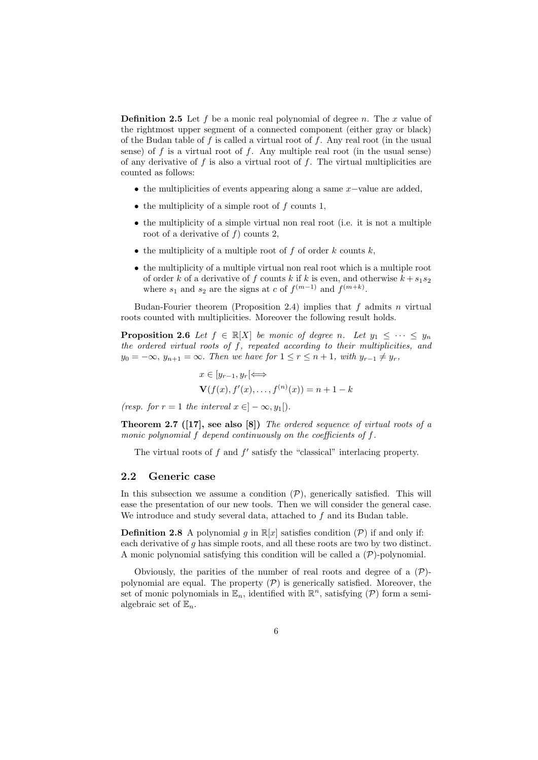**Definition 2.5** Let *f* be a monic real polynomial of degree *n*. The *x* value of the rightmost upper segment of a connected component (either gray or black) of the Budan table of *f* is called a virtual root of *f*. Any real root (in the usual sense) of  $f$  is a virtual root of  $f$ . Any multiple real root (in the usual sense) of any derivative of *f* is also a virtual root of *f*. The virtual multiplicities are counted as follows:

- *•* the multiplicities of events appearing along a same *x−*value are added,
- *•* the multiplicity of a simple root of *f* counts 1,
- the multiplicity of a simple virtual non real root (i.e. it is not a multiple root of a derivative of *f*) counts 2,
- the multiplicity of a multiple root of  $f$  of order  $k$  counts  $k$ ,
- the multiplicity of a multiple virtual non real root which is a multiple root of order *k* of a derivative of *f* counts *k* if *k* is even, and otherwise  $k + s_1 s_2$ where  $s_1$  and  $s_2$  are the signs at *c* of  $f^{(m-1)}$  and  $f^{(m+k)}$ .

Budan-Fourier theorem (Proposition 2.4) implies that *f* admits *n* virtual roots counted with multiplicities. Moreover the following result holds.

**Proposition 2.6** *Let*  $f \in \mathbb{R}[X]$  *be monic of degree n. Let*  $y_1 \leq \cdots \leq y_n$ *the ordered virtual roots of f, repeated according to their multiplicities, and y*<sub>0</sub> = −∞, *y*<sub>*n*+1</sub> = ∞. *Then we have for*  $1 \le r \le n + 1$ *, with*  $y_{r-1} \neq y_r$ *,* 

$$
x \in [y_{r-1}, y_r] \Longleftrightarrow
$$
  
\n
$$
\mathbf{V}(f(x), f'(x), \dots, f^{(n)}(x)) = n + 1 - k
$$

*(resp. for*  $r = 1$  *the interval*  $x \in ]-\infty, y_1[$ *).* 

**Theorem 2.7 ([17], see also [8])** *The ordered sequence of virtual roots of a monic polynomial f depend continuously on the coefficients of f.*

The virtual roots of  $f$  and  $f'$  satisfy the "classical" interlacing property.

#### **2.2 Generic case**

In this subsection we assume a condition  $(\mathcal{P})$ , generically satisfied. This will ease the presentation of our new tools. Then we will consider the general case. We introduce and study several data, attached to *f* and its Budan table.

**Definition 2.8** A polynomial *g* in  $\mathbb{R}[x]$  satisfies condition  $(\mathcal{P})$  if and only if: each derivative of *g* has simple roots, and all these roots are two by two distinct. A monic polynomial satisfying this condition will be called a (*P*)-polynomial.

Obviously, the parities of the number of real roots and degree of a (*P*) polynomial are equal. The property  $(P)$  is generically satisfied. Moreover, the set of monic polynomials in  $\mathbb{E}_n$ , identified with  $\mathbb{R}^n$ , satisfying  $(\mathcal{P})$  form a semialgebraic set of  $\mathbb{E}_n$ .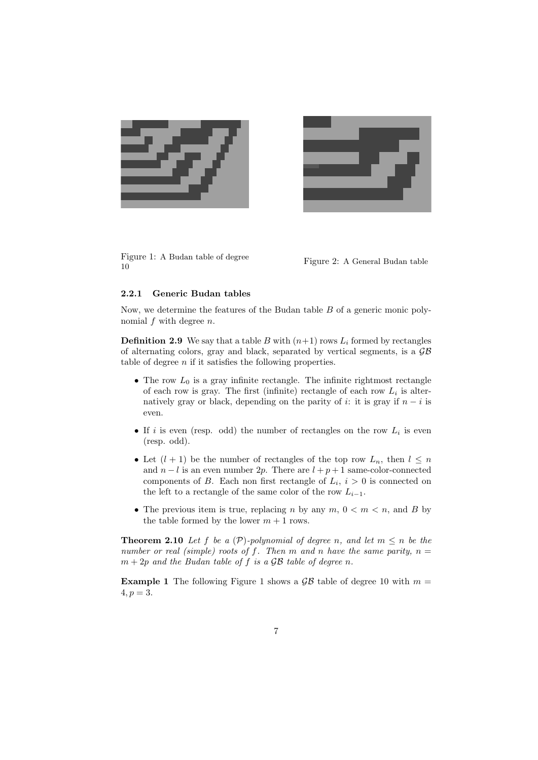



Figure 1: A Budan table of degree Figure 1: A Budan table of degree<br>
Figure 2: A General Budan table<br>
10

#### **2.2.1 Generic Budan tables**

Now, we determine the features of the Budan table *B* of a generic monic polynomial *f* with degree *n*.

**Definition 2.9** We say that a table *B* with  $(n+1)$  rows  $L_i$  formed by rectangles of alternating colors, gray and black, separated by vertical segments, is a *GB* table of degree *n* if it satisfies the following properties.

- The row  $L_0$  is a gray infinite rectangle. The infinite rightmost rectangle of each row is gray. The first (infinite) rectangle of each row  $L_i$  is alternatively gray or black, depending on the parity of *i*: it is gray if  $n - i$  is even.
- *•* If *i* is even (resp. odd) the number of rectangles on the row *L<sup>i</sup>* is even (resp. odd).
- Let  $(l + 1)$  be the number of rectangles of the top row  $L_n$ , then  $l \leq n$ and  $n - l$  is an even number 2p. There are  $l + p + 1$  same-color-connected components of *B*. Each non first rectangle of  $L_i$ ,  $i > 0$  is connected on the left to a rectangle of the same color of the row  $L_{i-1}$ .
- The previous item is true, replacing *n* by any  $m, 0 < m < n$ , and *B* by the table formed by the lower  $m + 1$  rows.

**Theorem 2.10** *Let*  $f$  *be a*  $(P)$ *-polynomial of degree n, and let*  $m \leq n$  *be the number or real (simple) roots of f.* Then  $m$  and  $n$  have the same parity,  $n =$  $m + 2p$  *and the Budan table of f is a GB table of degree n.* 

**Example 1** The following Figure 1 shows a  $\mathcal{GB}$  table of degree 10 with  $m =$  $4, p = 3.$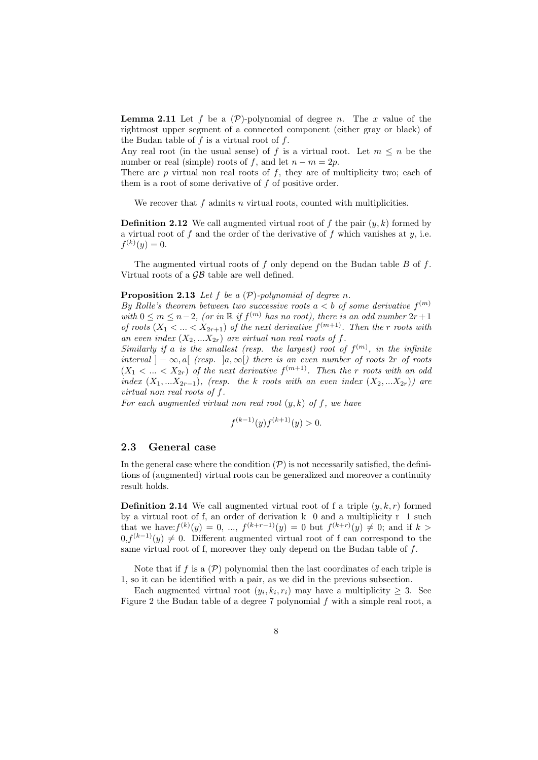**Lemma 2.11** Let f be a  $(\mathcal{P})$ -polynomial of degree *n*. The *x* value of the rightmost upper segment of a connected component (either gray or black) of the Budan table of *f* is a virtual root of *f*.

Any real root (in the usual sense) of *f* is a virtual root. Let  $m \leq n$  be the number or real (simple) roots of  $f$ , and let  $n - m = 2p$ .

There are *p* virtual non real roots of *f*, they are of multiplicity two; each of them is a root of some derivative of *f* of positive order.

We recover that *f* admits *n* virtual roots, counted with multiplicities.

**Definition 2.12** We call augmented virtual root of  $f$  the pair  $(y, k)$  formed by a virtual root of *f* and the order of the derivative of *f* which vanishes at *y*, i.e.  $f^{(k)}(y) = 0.$ 

The augmented virtual roots of *f* only depend on the Budan table *B* of *f*. Virtual roots of a *GB* table are well defined.

#### **Proposition 2.13** *Let f be a* (*P*)*-polynomial of degree n.*

*By Rolle's theorem between two successive roots*  $a < b$  *of some derivative*  $f^{(m)}$ *with*  $0 \le m \le n-2$ , (or in  $\mathbb{R}$  if  $f^{(m)}$  has no root), there is an odd number  $2r+1$ *of roots*  $(X_1 < ... < X_{2r+1})$  *of the next derivative*  $f^{(m+1)}$ *. Then the r roots* with an even index  $(X_2,...X_{2r})$  are virtual non real roots of f.

*Similarly if a is the smallest (resp. the largest) root of*  $f^{(m)}$ , *in the infinite*  $interval \, | -\infty, a[$  (resp.  $|a, \infty|$ ) there is an even number of roots 2*r* of roots  $(X_1 \lt ... \lt X_{2r})$  *of the next derivative*  $f^{(m+1)}$ *. Then the r roots with an odd index*  $(X_1, \ldots X_{2r-1})$ *, (resp. the k roots with an even index*  $(X_2, \ldots X_{2r})$ *) are virtual non real roots of f.*

*For each augmented virtual non real root* (*y, k*) *of f, we have*

$$
f^{(k-1)}(y)f^{(k+1)}(y) > 0.
$$

#### **2.3 General case**

In the general case where the condition  $(P)$  is not necessarily satisfied, the definitions of (augmented) virtual roots can be generalized and moreover a continuity result holds.

**Definition 2.14** We call augmented virtual root of f a triple  $(y, k, r)$  formed by a virtual root of f, an order of derivation k 0 and a multiplicity r 1 such that we have: $f^{(k)}(y) = 0, ..., f^{(k+r-1)}(y) = 0$  but  $f^{(k+r)}(y) \neq 0$ ; and if  $k >$  $0, f<sup>(k-1)</sup>(y) ≠ 0$ . Different augmented virtual root of f can correspond to the same virtual root of f, moreover they only depend on the Budan table of *f*.

Note that if  $f$  is a  $(\mathcal{P})$  polynomial then the last coordinates of each triple is 1, so it can be identified with a pair, as we did in the previous subsection.

Each augmented virtual root  $(y_i, k_i, r_i)$  may have a multiplicity  $\geq 3$ . See Figure 2 the Budan table of a degree 7 polynomial *f* with a simple real root, a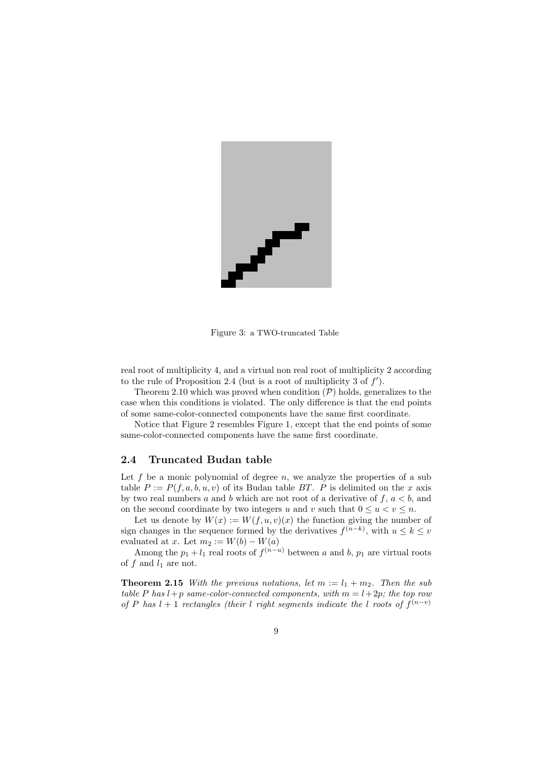

Figure 3: a TWO-truncated Table

real root of multiplicity 4, and a virtual non real root of multiplicity 2 according to the rule of Proposition 2.4 (but is a root of multiplicity 3 of  $f'$ ).

Theorem 2.10 which was proved when condition  $(\mathcal{P})$  holds, generalizes to the case when this conditions is violated. The only difference is that the end points of some same-color-connected components have the same first coordinate.

Notice that Figure 2 resembles Figure 1, except that the end points of some same-color-connected components have the same first coordinate.

#### **2.4 Truncated Budan table**

Let  $f$  be a monic polynomial of degree  $n$ , we analyze the properties of a sub table  $P := P(f, a, b, u, v)$  of its Budan table *BT*. *P* is delimited on the *x* axis by two real numbers *a* and *b* which are not root of a derivative of *f*, *a < b*, and on the second coordinate by two integers *u* and *v* such that  $0 \le u \le v \le n$ .

Let us denote by  $W(x) := W(f, u, v)(x)$  the function giving the number of sign changes in the sequence formed by the derivatives  $f^{(n-k)}$ , with  $u \leq k \leq v$ evaluated at *x*. Let  $m_2 := W(b) - W(a)$ 

Among the  $p_1 + l_1$  real roots of  $f^{(n-u)}$  between *a* and *b*,  $p_1$  are virtual roots of  $f$  and  $l_1$  are not.

**Theorem 2.15** *With the previous notations, let*  $m := l_1 + m_2$ *. Then the sub table*  $P$  *has*  $l + p$  *same-color-connected components, with*  $m = l + 2p$ *; the top row of P* has  $l + 1$  *rectangles (their l right segments indicate the l roots of*  $f^{(n-v)}$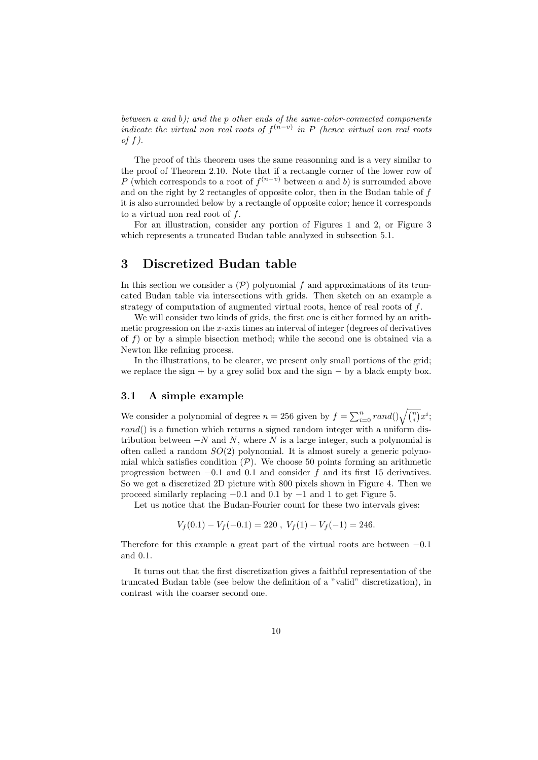*between a and b); and the p other ends of the same-color-connected components indicate the virtual non real roots of*  $f^{(n-v)}$  *in P* (*hence virtual non real roots of f).*

The proof of this theorem uses the same reasonning and is a very similar to the proof of Theorem 2.10. Note that if a rectangle corner of the lower row of *P* (which corresponds to a root of  $f^{(n-v)}$  between *a* and *b*) is surrounded above and on the right by 2 rectangles of opposite color, then in the Budan table of *f* it is also surrounded below by a rectangle of opposite color; hence it corresponds to a virtual non real root of *f*.

For an illustration, consider any portion of Figures 1 and 2, or Figure 3 which represents a truncated Budan table analyzed in subsection 5.1.

# **3 Discretized Budan table**

In this section we consider a  $(\mathcal{P})$  polynomial  $f$  and approximations of its truncated Budan table via intersections with grids. Then sketch on an example a strategy of computation of augmented virtual roots, hence of real roots of *f*.

We will consider two kinds of grids, the first one is either formed by an arithmetic progression on the *x*-axis times an interval of integer (degrees of derivatives of *f*) or by a simple bisection method; while the second one is obtained via a Newton like refining process.

In the illustrations, to be clearer, we present only small portions of the grid; we replace the sign + by a grey solid box and the sign *−* by a black empty box.

#### **3.1 A simple example**

We consider a polynomial of degree  $n = 256$  given by  $f = \sum_{i=0}^{n} rand() \sqrt{\binom{n}{i}} x^{i}$ ; *rand*() is a function which returns a signed random integer with a uniform distribution between *−N* and *N*, where *N* is a large integer, such a polynomial is often called a random *SO*(2) polynomial. It is almost surely a generic polynomial which satisfies condition  $(P)$ . We choose 50 points forming an arithmetic progression between *−*0*.*1 and 0*.*1 and consider *f* and its first 15 derivatives. So we get a discretized 2D picture with 800 pixels shown in Figure 4. Then we proceed similarly replacing *−*0*.*1 and 0*.*1 by *−*1 and 1 to get Figure 5.

Let us notice that the Budan-Fourier count for these two intervals gives:

$$
V_f(0.1) - V_f(-0.1) = 220 , V_f(1) - V_f(-1) = 246.
$$

Therefore for this example a great part of the virtual roots are between *−*0*.*1 and 0*.*1.

It turns out that the first discretization gives a faithful representation of the truncated Budan table (see below the definition of a "valid" discretization), in contrast with the coarser second one.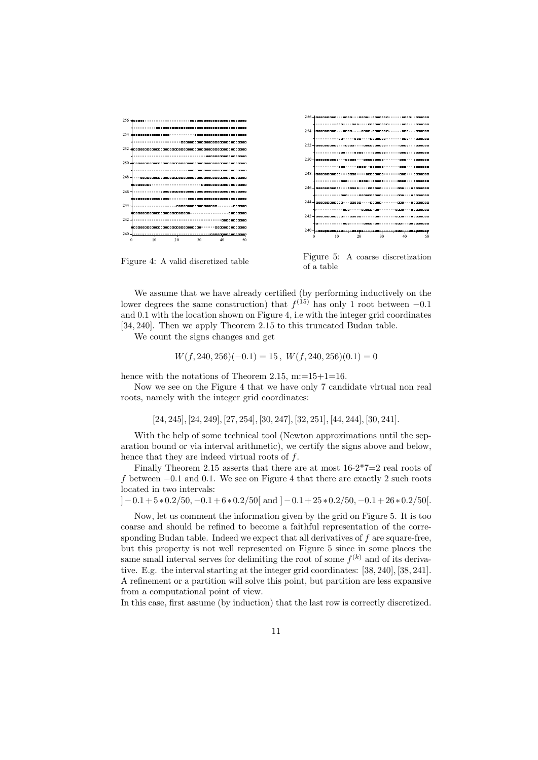

Figure 4: A valid discretized table

Figure 5: A coarse discretization of a table

We assume that we have already certified (by performing inductively on the lower degrees the same construction) that  $f^{(15)}$  has only 1 root between  $-0.1$ and 0*.*1 with the location shown on Figure 4, i.e with the integer grid coordinates [34*,* 240]. Then we apply Theorem 2.15 to this truncated Budan table.

We count the signs changes and get

$$
W(f, 240, 256)(-0.1) = 15, \ W(f, 240, 256)(0.1) = 0
$$

hence with the notations of Theorem 2.15, m:=15+1=16.

Now we see on the Figure 4 that we have only 7 candidate virtual non real roots, namely with the integer grid coordinates:

[24*,* 245]*,* [24*,* 249]*,* [27*,* 254]*,* [30*,* 247]*,* [32*,* 251]*,* [44*,* 244]*,* [30*,* 241]*.*

With the help of some technical tool (Newton approximations until the separation bound or via interval arithmetic), we certify the signs above and below, hence that they are indeed virtual roots of *f*.

Finally Theorem 2.15 asserts that there are at most  $16-2*7=2$  real roots of *f* between *−*0*.*1 and 0*.*1. We see on Figure 4 that there are exactly 2 such roots located in two intervals:

 $[-0.1 + 5*0.2/50, -0.1 + 6*0.2/50]$  and  $[-0.1 + 25*0.2/50, -0.1 + 26*0.2/50]$ .

Now, let us comment the information given by the grid on Figure 5. It is too coarse and should be refined to become a faithful representation of the corresponding Budan table. Indeed we expect that all derivatives of *f* are square-free, but this property is not well represented on Figure 5 since in some places the same small interval serves for delimiting the root of some  $f^{(k)}$  and of its derivative. E.g. the interval starting at the integer grid coordinates: [38*,* 240]*,* [38*,* 241]. A refinement or a partition will solve this point, but partition are less expansive from a computational point of view.

In this case, first assume (by induction) that the last row is correctly discretized.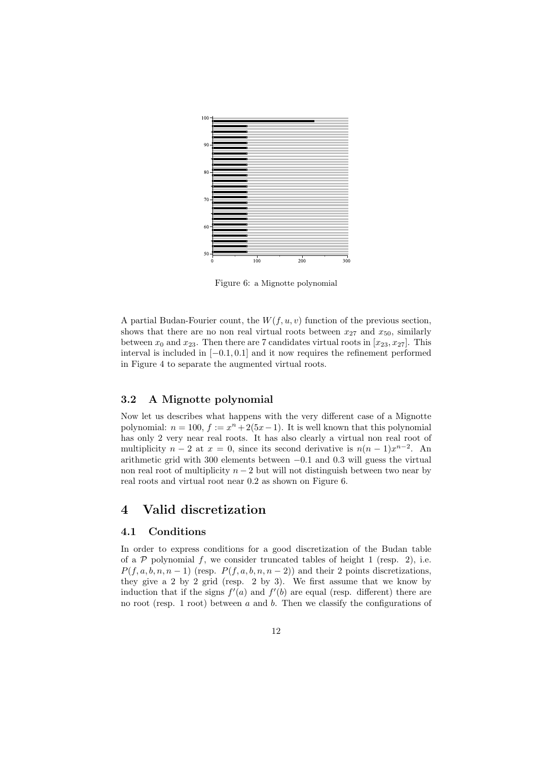

Figure 6: a Mignotte polynomial

A partial Budan-Fourier count, the *W*(*f, u, v*) function of the previous section, shows that there are no non real virtual roots between  $x_{27}$  and  $x_{50}$ , similarly between  $x_0$  and  $x_{23}$ . Then there are 7 candidates virtual roots in  $[x_{23}, x_{27}]$ . This interval is included in [*−*0*.*1*,* 0*.*1] and it now requires the refinement performed in Figure 4 to separate the augmented virtual roots.

#### **3.2 A Mignotte polynomial**

Now let us describes what happens with the very different case of a Mignotte polynomial:  $n = 100$ ,  $f := x<sup>n</sup> + 2(5x - 1)$ . It is well known that this polynomial has only 2 very near real roots. It has also clearly a virtual non real root of multiplicity  $n-2$  at  $x=0$ , since its second derivative is  $n(n-1)x^{n-2}$ . An arithmetic grid with 300 elements between *−*0*.*1 and 0*.*3 will guess the virtual non real root of multiplicity  $n-2$  but will not distinguish between two near by real roots and virtual root near 0*.*2 as shown on Figure 6.

# **4 Valid discretization**

#### **4.1 Conditions**

In order to express conditions for a good discretization of the Budan table of a  $P$  polynomial  $f$ , we consider truncated tables of height 1 (resp. 2), i.e.  $P(f, a, b, n, n - 1)$  (resp.  $P(f, a, b, n, n - 2)$ ) and their 2 points discretizations, they give a 2 by 2 grid (resp. 2 by 3). We first assume that we know by induction that if the signs  $f'(a)$  and  $f'(b)$  are equal (resp. different) there are no root (resp. 1 root) between *a* and *b*. Then we classify the configurations of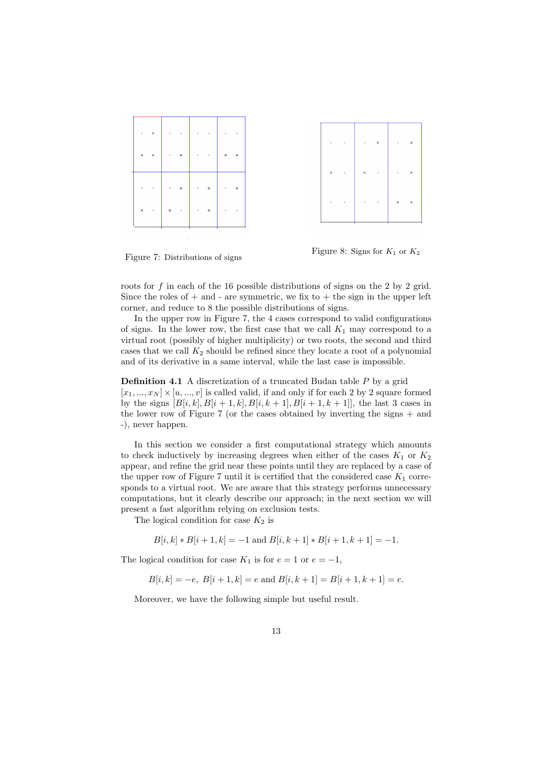



Figure 7: Distributions of signs

Figure 8: Signs for  $K_1$  or  $K_2$ 

roots for *f* in each of the 16 possible distributions of signs on the 2 by 2 grid. Since the roles of  $+$  and  $-$  are symmetric, we fix to  $+$  the sign in the upper left corner, and reduce to 8 the possible distributions of signs.

In the upper row in Figure 7, the 4 cases correspond to valid configurations of signs. In the lower row, the first case that we call  $K_1$  may correspond to a virtual root (possibly of higher multiplicity) or two roots, the second and third cases that we call  $K_2$  should be refined since they locate a root of a polynomial and of its derivative in a same interval, while the last case is impossible.

**Definition 4.1** A discretization of a truncated Budan table *P* by a grid  $[x_1, ..., x_N] \times [u, ..., v]$  is called valid, if and only if for each 2 by 2 square formed by the signs  $[B[i, k], B[i + 1, k], B[i, k + 1], B[i + 1, k + 1]$ , the last 3 cases in the lower row of Figure 7 (or the cases obtained by inverting the signs + and -), never happen.

In this section we consider a first computational strategy which amounts to check inductively by increasing degrees when either of the cases  $K_1$  or  $K_2$ appear, and refine the grid near these points until they are replaced by a case of the upper row of Figure 7 until it is certified that the considered case  $K_1$  corresponds to a virtual root. We are aware that this strategy performs unnecessary computations, but it clearly describe our approach; in the next section we will present a fast algorithm relying on exclusion tests.

The logical condition for case  $K_2$  is

$$
B[i,k] * B[i+1,k] = -1 \text{ and } B[i,k+1] * B[i+1,k+1] = -1.
$$

The logical condition for case  $K_1$  is for  $e = 1$  or  $e = -1$ ,

 $B[i, k] = -e$ ,  $B[i+1, k] = e$  and  $B[i, k+1] = B[i+1, k+1] = e$ .

Moreover, we have the following simple but useful result.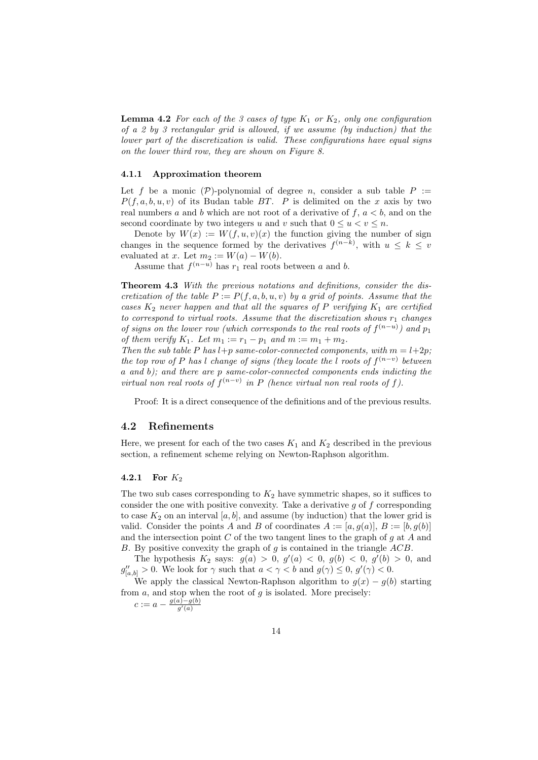**Lemma 4.2** For each of the 3 cases of type  $K_1$  or  $K_2$ , only one configuration *of a 2 by 3 rectangular grid is allowed, if we assume (by induction) that the lower part of the discretization is valid. These configurations have equal signs on the lower third row, they are shown on Figure 8.*

#### **4.1.1 Approximation theorem**

Let f be a monic  $(P)$ -polynomial of degree *n*, consider a sub table  $P :=$  $P(f, a, b, u, v)$  of its Budan table *BT*. *P* is delimited on the *x* axis by two real numbers *a* and *b* which are not root of a derivative of  $f, a < b$ , and on the second coordinate by two integers *u* and *v* such that  $0 \le u \le v \le n$ .

Denote by  $W(x) := W(f, u, v)(x)$  the function giving the number of sign changes in the sequence formed by the derivatives  $f^{(n-k)}$ , with  $u \leq k \leq v$ evaluated at *x*. Let  $m_2 := W(a) - W(b)$ .

Assume that  $f^{(n-u)}$  has  $r_1$  real roots between a and b.

**Theorem 4.3** *With the previous notations and definitions, consider the discretization of the table*  $P := P(f, a, b, u, v)$  *by a grid of points. Assume that the cases*  $K_2$  *never happen and that all the squares of*  $P$  *verifying*  $K_1$  *are certified to correspond to virtual roots. Assume that the discretization shows r*<sup>1</sup> *changes of signs on the lower row (which corresponds to the real roots of*  $f^{(n-u)}$ ) and  $p_1$ *of them verify*  $K_1$ *. Let*  $m_1 := r_1 - p_1$  *and*  $m := m_1 + m_2$ *.* 

*Then the sub table*  $P$  *has*  $l+p$  *same-color-connected components, with*  $m = l+2p$ *; the top row of P has l change of signs (they locate the l roots of*  $f^{(n-v)}$  *between a and b); and there are p same-color-connected components ends indicting the virtual non real roots of*  $f^{(n-v)}$  *in P* (hence virtual non real roots of f).

Proof: It is a direct consequence of the definitions and of the previous results.

#### **4.2 Refinements**

Here, we present for each of the two cases  $K_1$  and  $K_2$  described in the previous section, a refinement scheme relying on Newton-Raphson algorithm.

#### **4.2.1 For** *K*<sup>2</sup>

The two sub cases corresponding to  $K_2$  have symmetric shapes, so it suffices to consider the one with positive convexity. Take a derivative *g* of *f* corresponding to case  $K_2$  on an interval [ $a, b$ ], and assume (by induction) that the lower grid is valid. Consider the points *A* and *B* of coordinates  $A := [a, g(a)], B := [b, g(b)]$ and the intersection point *C* of the two tangent lines to the graph of *g* at *A* and *B*. By positive convexity the graph of *g* is contained in the triangle *ACB*.

The hypothesis  $K_2$  says:  $g(a) > 0$ ,  $g'(a) < 0$ ,  $g(b) < 0$ ,  $g'(b) > 0$ , and  $g_{[a,b]}'' > 0$ . We look for  $\gamma$  such that  $a < \gamma < b$  and  $g(\gamma) \leq 0$ ,  $g'(\gamma) < 0$ .

We apply the classical Newton-Raphson algorithm to  $g(x) - g(b)$  starting from *a*, and stop when the root of *g* is isolated. More precisely:

 $c := a - \frac{g(a) - g(b)}{g'(a)}$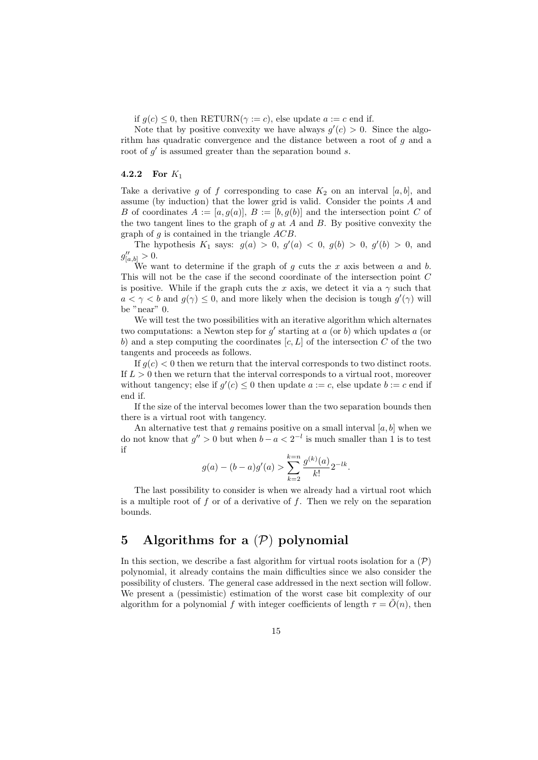if  $g(c) \leq 0$ , then RETURN( $\gamma := c$ ), else update  $a := c$  end if.

Note that by positive convexity we have always  $g'(c) > 0$ . Since the algorithm has quadratic convergence and the distance between a root of *g* and a root of  $g'$  is assumed greater than the separation bound *s*.

#### **4.2.2 For** *K*<sup>1</sup>

Take a derivative *g* of *f* corresponding to case  $K_2$  on an interval [a, b], and assume (by induction) that the lower grid is valid. Consider the points *A* and *B* of coordinates  $A := [a, g(a)], B := [b, g(b)]$  and the intersection point *C* of the two tangent lines to the graph of *g* at *A* and *B*. By positive convexity the graph of *g* is contained in the triangle *ACB*.

The hypothesis  $K_1$  says:  $g(a) > 0$ ,  $g'(a) < 0$ ,  $g(b) > 0$ ,  $g'(b) > 0$ , and  $g''_{[a,b]} > 0.$ 

We want to determine if the graph of *g* cuts the *x* axis between *a* and *b*. This will not be the case if the second coordinate of the intersection point *C* is positive. While if the graph cuts the *x* axis, we detect it via a  $\gamma$  such that  $a < \gamma < b$  and  $g(\gamma) \leq 0$ , and more likely when the decision is tough  $g'(\gamma)$  will be "near" 0.

We will test the two possibilities with an iterative algorithm which alternates two computations: a Newton step for  $g'$  starting at  $a$  (or  $b$ ) which updates  $a$  (or *b*) and a step computing the coordinates [*c, L*] of the intersection *C* of the two tangents and proceeds as follows.

If  $g(c) < 0$  then we return that the interval corresponds to two distinct roots. If  $L > 0$  then we return that the interval corresponds to a virtual root, moreover without tangency; else if  $g'(c) \leq 0$  then update  $a := c$ , else update  $b := c$  end if end if.

If the size of the interval becomes lower than the two separation bounds then there is a virtual root with tangency.

An alternative test that  $q$  remains positive on a small interval  $[a, b]$  when we do not know that  $g'' > 0$  but when  $b - a < 2^{-l}$  is much smaller than 1 is to test if

$$
g(a) - (b - a)g'(a) > \sum_{k=2}^{k=n} \frac{g^{(k)}(a)}{k!} 2^{-lk}.
$$

The last possibility to consider is when we already had a virtual root which is a multiple root of *f* or of a derivative of *f*. Then we rely on the separation bounds.

# **5 Algorithms for a** (*P*) **polynomial**

In this section, we describe a fast algorithm for virtual roots isolation for a  $(\mathcal{P})$ polynomial, it already contains the main difficulties since we also consider the possibility of clusters. The general case addressed in the next section will follow. We present a (pessimistic) estimation of the worst case bit complexity of our algorithm for a polynomial *f* with integer coefficients of length  $\tau = \tilde{O}(n)$ , then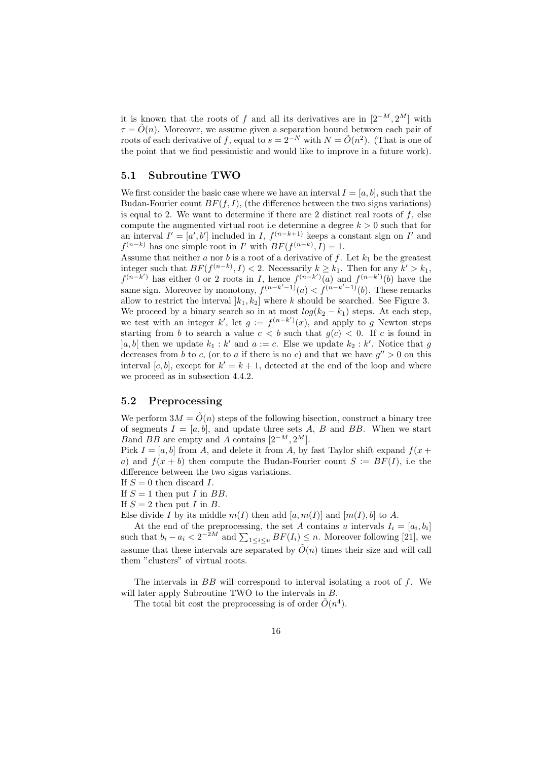it is known that the roots of *f* and all its derivatives are in  $[2^{-M}, 2^M]$  with  $\tau = \tilde{O}(n)$ . Moreover, we assume given a separation bound between each pair of roots of each derivative of *f*, equal to  $s = 2^{-N}$  with  $N = \tilde{O}(n^2)$ . (That is one of the point that we find pessimistic and would like to improve in a future work).

#### **5.1 Subroutine TWO**

We first consider the basic case where we have an interval  $I = [a, b]$ , such that the Budan-Fourier count  $BF(f, I)$ , (the difference between the two signs variations) is equal to 2. We want to determine if there are 2 distinct real roots of  $f$ , else compute the augmented virtual root i.e determine a degree  $k > 0$  such that for an interval  $I' = [a', b']$  included in *I*,  $f^{(n-k+1)}$  keeps a constant sign on *I'* and  $f^{(n-k)}$  has one simple root in *I*' with  $BF(f^{(n-k)}, I) = 1$ .

Assume that neither *a* nor *b* is a root of a derivative of *f*. Let  $k_1$  be the greatest integer such that  $BF(f^{(n-k)}, I) < 2$ . Necessarily  $k \geq k_1$ . Then for any  $k' > k_1$ ,  $f^{(n-k')}$  has either 0 or 2 roots in *I*, hence  $f^{(n-k')}(a)$  and  $f^{(n-k')}(b)$  have the same sign. Moreover by monotony,  $f^{(n-k'-1)}(a) < f^{(n-k'-1)}(b)$ . These remarks allow to restrict the interval  $|k_1, k_2|$  where  $k$  should be searched. See Figure 3. We proceed by a binary search so in at most  $log(k_2 - k_1)$  steps. At each step, we test with an integer  $k'$ , let  $g := f^{(n-k')}(x)$ , and apply to  $g$  Newton steps starting from *b* to search a value  $c < b$  such that  $g(c) < 0$ . If *c* is found in  $[a, b]$  then we update  $k_1 : k'$  and  $a := c$ . Else we update  $k_2 : k'$ . Notice that *g* decreases from *b* to *c*, (or to *a* if there is no *c*) and that we have  $g'' > 0$  on this interval  $[c, b]$ , except for  $k' = k + 1$ , detected at the end of the loop and where we proceed as in subsection 4.4.2.

#### **5.2 Preprocessing**

We perform  $3M = \tilde{O}(n)$  steps of the following bisection, construct a binary tree of segments  $I = [a, b]$ , and update three sets  $A$ ,  $B$  and  $BB$ . When we start *B*and *BB* are empty and *A* contains  $[2^{-M}, 2^M]$ .

Pick  $I = [a, b]$  from *A*, and delete it from *A*, by fast Taylor shift expand  $f(x + b)$ *a*) and  $f(x + b)$  then compute the Budan-Fourier count  $S := BF(I)$ , i.e the difference between the two signs variations.

- If *S* = 0 then discard *I*.
- If  $S = 1$  then put *I* in *BB*.
- If  $S = 2$  then put *I* in *B*.
- Else divide *I* by its middle  $m(I)$  then add  $[a, m(I)]$  and  $[m(I), b]$  to *A*.

At the end of the preprocessing, the set *A* contains *u* intervals  $I_i = [a_i, b_i]$ such that  $b_i - a_i < 2^{-2M}$  and  $\sum_{1 \leq i \leq u} BF(I_i) \leq n$ . Moreover following [21], we assume that these intervals are separated by  $\tilde{O}(n)$  times their size and will call them "clusters" of virtual roots.

The intervals in *BB* will correspond to interval isolating a root of *f*. We will later apply Subroutine TWO to the intervals in *B*.

The total bit cost the preprocessing is of order  $\tilde{O}(n^4)$ .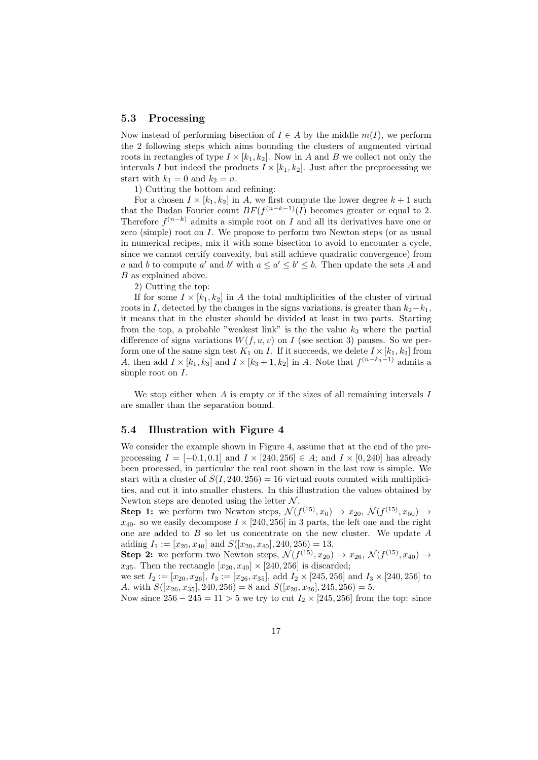#### **5.3 Processing**

Now instead of performing bisection of  $I \in A$  by the middle  $m(I)$ , we perform the 2 following steps which aims bounding the clusters of augmented virtual roots in rectangles of type  $I \times [k_1, k_2]$ . Now in *A* and *B* we collect not only the intervals *I* but indeed the products  $I \times [k_1, k_2]$ . Just after the preprocessing we start with  $k_1 = 0$  and  $k_2 = n$ .

1) Cutting the bottom and refining:

For a chosen  $I \times [k_1, k_2]$  in *A*, we first compute the lower degree  $k + 1$  such that the Budan Fourier count  $BF(f^{(n-k-1)}(I))$  becomes greater or equal to 2. Therefore  $f^{(n-k)}$  admits a simple root on *I* and all its derivatives have one or zero (simple) root on *I*. We propose to perform two Newton steps (or as usual in numerical recipes, mix it with some bisection to avoid to encounter a cycle, since we cannot certify convexity, but still achieve quadratic convergence) from *a* and *b* to compute *a*<sup>*'*</sup> and *b'* with  $a \leq a' \leq b' \leq b$ . Then update the sets *A* and *B* as explained above.

2) Cutting the top:

If for some  $I \times [k_1, k_2]$  in A the total multiplicities of the cluster of virtual roots in *I*, detected by the changes in the signs variations, is greater than  $k_2$ − $k_1$ , it means that in the cluster should be divided at least in two parts. Starting from the top, a probable "weakest link" is the the value  $k_3$  where the partial difference of signs variations  $W(f, u, v)$  on *I* (see section 3) pauses. So we perform one of the same sign test  $K_1$  on *I*. If it succeeds, we delete  $I \times [k_1, k_2]$  from *A*, then add  $I \times [k_1, k_3]$  and  $I \times [k_3 + 1, k_2]$  in *A*. Note that  $f^{(n-k_3-1)}$  admits a simple root on *I*.

We stop either when *A* is empty or if the sizes of all remaining intervals *I* are smaller than the separation bound.

#### **5.4 Illustration with Figure 4**

We consider the example shown in Figure 4, assume that at the end of the preprocessing  $I = [-0.1, 0.1]$  and  $I \times [240, 256] \in A$ ; and  $I \times [0, 240]$  has already been processed, in particular the real root shown in the last row is simple. We start with a cluster of  $S(I, 240, 256) = 16$  virtual roots counted with multiplicities, and cut it into smaller clusters. In this illustration the values obtained by Newton steps are denoted using the letter *N* .

**Step 1:** we perform two Newton steps,  $\mathcal{N}(f^{(15)}, x_0) \to x_{20}, \, \mathcal{N}(f^{(15)}, x_{50}) \to$  $x_{40}$ . so we easily decompose  $I \times [240, 256]$  in 3 parts, the left one and the right one are added to *B* so let us concentrate on the new cluster. We update *A* adding  $I_1 := [x_{20}, x_{40}]$  and  $S([x_{20}, x_{40}], 240, 256) = 13$ .

**Step 2:** we perform two Newton steps,  $\mathcal{N}(f^{(15)}, x_{20}) \to x_{26}, \, \mathcal{N}(f^{(15)}, x_{40}) \to$ *x*<sub>35</sub>. Then the rectangle  $[x_{20}, x_{40}] \times [240, 256]$  is discarded;

we set  $I_2 := [x_{20}, x_{26}], I_3 := [x_{26}, x_{35}],$  add  $I_2 \times [245, 256]$  and  $I_3 \times [240, 256]$  to *A*, with  $S([x_{26}, x_{35}], 240, 256) = 8$  and  $S([x_{20}, x_{26}], 245, 256) = 5$ .

Now since 256 *−* 245 = 11 *>* 5 we try to cut *I*<sup>2</sup> *×* [245*,* 256] from the top: since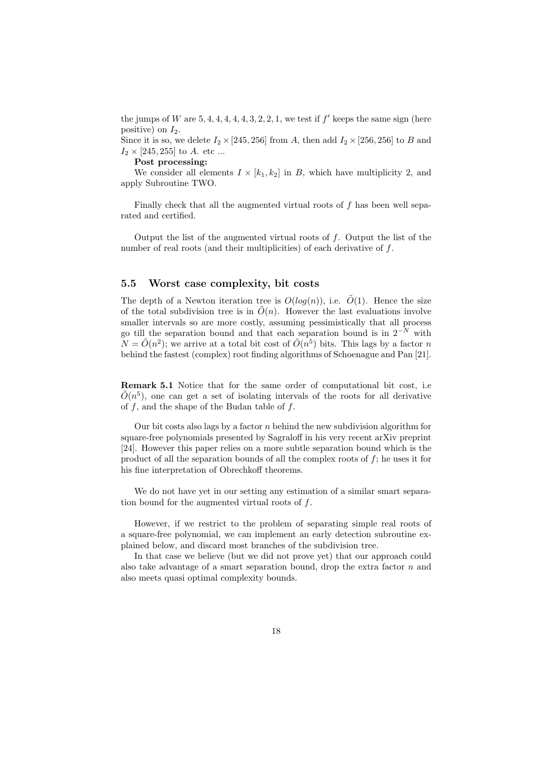the jumps of *W* are  $5, 4, 4, 4, 4, 4, 3, 2, 2, 1$ , we test if  $f'$  keeps the same sign (here positive) on *I*2.

Since it is so, we delete  $I_2 \times [245, 256]$  from *A*, then add  $I_2 \times [256, 256]$  to *B* and  $I_2 \times [245, 255]$  to *A*. etc ...

**Post processing:**

We consider all elements  $I \times [k_1, k_2]$  in *B*, which have multiplicity 2, and apply Subroutine TWO.

Finally check that all the augmented virtual roots of *f* has been well separated and certified.

Output the list of the augmented virtual roots of *f*. Output the list of the number of real roots (and their multiplicities) of each derivative of *f*.

#### **5.5 Worst case complexity, bit costs**

The depth of a Newton iteration tree is  $O(log(n))$ , i.e.  $\tilde{O}(1)$ . Hence the size of the total subdivision tree is in  $\tilde{O}(n)$ . However the last evaluations involve smaller intervals so are more costly, assuming pessimistically that all process go till the separation bound and that each separation bound is in 2*−<sup>N</sup>* with  $\tilde{N} = \tilde{O}(n^2)$ ; we arrive at a total bit cost of  $\tilde{O}(n^5)$  bits. This lags by a factor *n* behind the fastest (complex) root finding algorithms of Schoenague and Pan [21].

**Remark 5.1** Notice that for the same order of computational bit cost, i.e  $\tilde{O}(n^5)$ , one can get a set of isolating intervals of the roots for all derivative of *f*, and the shape of the Budan table of *f*.

Our bit costs also lags by a factor *n* behind the new subdivision algorithm for square-free polynomials presented by Sagraloff in his very recent arXiv preprint [24]. However this paper relies on a more subtle separation bound which is the product of all the separation bounds of all the complex roots of *f*; he uses it for his fine interpretation of Obrechkoff theorems.

We do not have yet in our setting any estimation of a similar smart separation bound for the augmented virtual roots of *f*.

However, if we restrict to the problem of separating simple real roots of a square-free polynomial, we can implement an early detection subroutine explained below, and discard most branches of the subdivision tree.

In that case we believe (but we did not prove yet) that our approach could also take advantage of a smart separation bound, drop the extra factor *n* and also meets quasi optimal complexity bounds.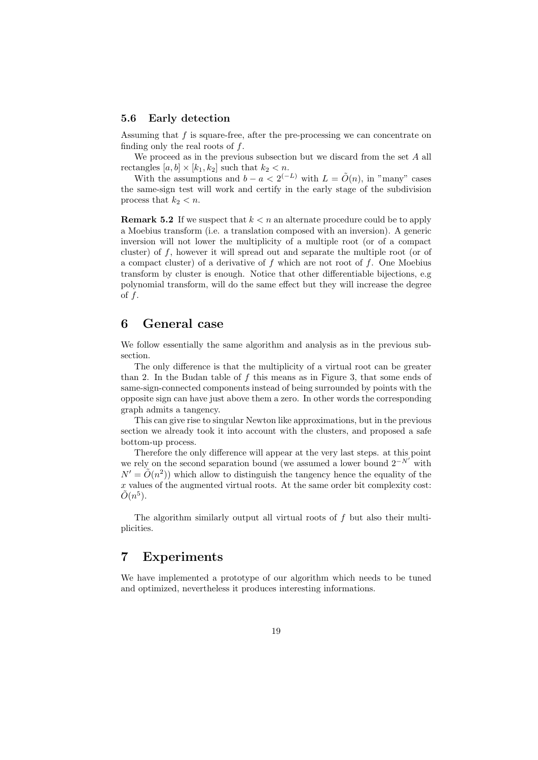#### **5.6 Early detection**

Assuming that *f* is square-free, after the pre-processing we can concentrate on finding only the real roots of *f*.

We proceed as in the previous subsection but we discard from the set *A* all rectangles  $[a, b] \times [k_1, k_2]$  such that  $k_2 < n$ .

With the assumptions and  $b - a < 2^{(-L)}$  with  $L = \tilde{O}(n)$ , in "many" cases the same-sign test will work and certify in the early stage of the subdivision process that  $k_2 < n$ .

**Remark 5.2** If we suspect that *k < n* an alternate procedure could be to apply a Moebius transform (i.e. a translation composed with an inversion). A generic inversion will not lower the multiplicity of a multiple root (or of a compact cluster) of *f*, however it will spread out and separate the multiple root (or of a compact cluster) of a derivative of *f* which are not root of *f*. One Moebius transform by cluster is enough. Notice that other differentiable bijections, e.g polynomial transform, will do the same effect but they will increase the degree of *f*.

## **6 General case**

We follow essentially the same algorithm and analysis as in the previous subsection.

The only difference is that the multiplicity of a virtual root can be greater than 2. In the Budan table of *f* this means as in Figure 3, that some ends of same-sign-connected components instead of being surrounded by points with the opposite sign can have just above them a zero. In other words the corresponding graph admits a tangency.

This can give rise to singular Newton like approximations, but in the previous section we already took it into account with the clusters, and proposed a safe bottom-up process.

Therefore the only difference will appear at the very last steps. at this point we rely on the second separation bound (we assumed a lower bound  $2^{-N'}$  with  $N' = \tilde{O}(n^2)$  which allow to distinguish the tangency hence the equality of the *x* values of the augmented virtual roots. At the same order bit complexity cost:  $\tilde{O}(n^5)$ .

The algorithm similarly output all virtual roots of *f* but also their multiplicities.

# **7 Experiments**

We have implemented a prototype of our algorithm which needs to be tuned and optimized, nevertheless it produces interesting informations.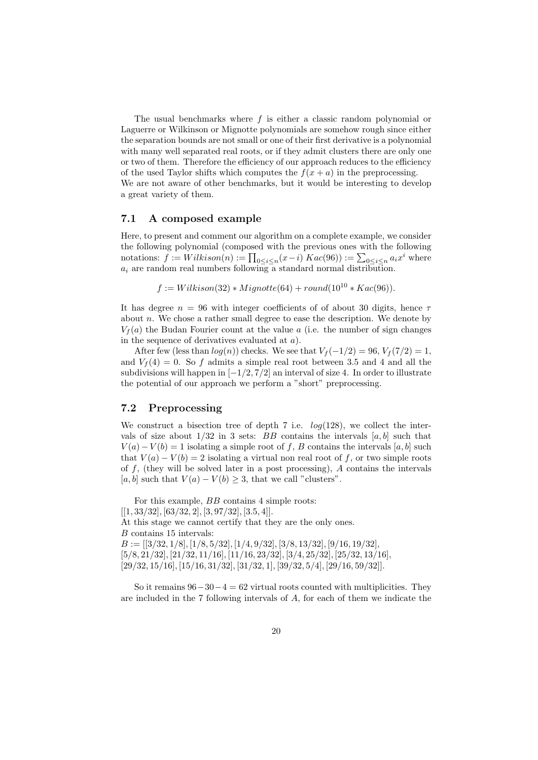The usual benchmarks where *f* is either a classic random polynomial or Laguerre or Wilkinson or Mignotte polynomials are somehow rough since either the separation bounds are not small or one of their first derivative is a polynomial with many well separated real roots, or if they admit clusters there are only one or two of them. Therefore the efficiency of our approach reduces to the efficiency of the used Taylor shifts which computes the  $f(x + a)$  in the preprocessing. We are not aware of other benchmarks, but it would be interesting to develop a great variety of them.

#### **7.1 A composed example**

Here, to present and comment our algorithm on a complete example, we consider the following polynomial (composed with the previous ones with the following notations:  $f := Wilkison(n) := \prod_{0 \le i \le n} (x - i) Kac(96) := \sum_{0 \le i \le n} a_i x^i$  where *a<sup>i</sup>* are random real numbers following a standard normal distribution.

$$
f := Wilkison(32) * Mignotte(64) + round(10^{10} * Kac(96)).
$$

It has degree *n* = 96 with integer coefficients of of about 30 digits, hence *τ* about *n*. We chose a rather small degree to ease the description. We denote by  $V_f(a)$  the Budan Fourier count at the value *a* (i.e. the number of sign changes in the sequence of derivatives evaluated at *a*).

After few (less than  $log(n)$ ) checks. We see that  $V_f(-1/2) = 96$ ,  $V_f(7/2) = 1$ , and  $V_f(4) = 0$ . So f admits a simple real root between 3.5 and 4 and all the subdivisions will happen in [*−*1*/*2*,* 7*/*2] an interval of size 4. In order to illustrate the potential of our approach we perform a "short" preprocessing.

#### **7.2 Preprocessing**

We construct a bisection tree of depth 7 i.e. *log*(128), we collect the intervals of size about  $1/32$  in 3 sets: *BB* contains the intervals  $[a, b]$  such that  $V(a) - V(b) = 1$  isolating a simple root of *f*, *B* contains the intervals [*a, b*] such that  $V(a) - V(b) = 2$  isolating a virtual non real root of *f*, or two simple roots of *f*, (they will be solved later in a post processing), *A* contains the intervals [ $a, b$ ] such that  $V(a) - V(b) \geq 3$ , that we call "clusters".

For this example, *BB* contains 4 simple roots: [[1*,* 33*/*32]*,* [63*/*32*,* 2]*,* [3*,* 97*/*32]*,* [3*.*5*,* 4]]. At this stage we cannot certify that they are the only ones. *B* contains 15 intervals: *B* := [[3*/*32*,* 1*/*8]*,* [1*/*8*,* 5*/*32]*,* [1*/*4*,* 9*/*32]*,* [3*/*8*,* 13*/*32]*,* [9*/*16*,* 19*/*32]*,* [5*/*8*,* 21*/*32]*,* [21*/*32*,* 11*/*16]*,* [11*/*16*,* 23*/*32]*,* [3*/*4*,* 25*/*32]*,* [25*/*32*,* 13*/*16]*,* [29*/*32*,* 15*/*16]*,* [15*/*16*,* 31*/*32]*,* [31*/*32*,* 1]*,* [39*/*32*,* 5*/*4]*,* [29*/*16*,* 59*/*32]].

So it remains 96*−*30*−*4 = 62 virtual roots counted with multiplicities. They are included in the 7 following intervals of *A*, for each of them we indicate the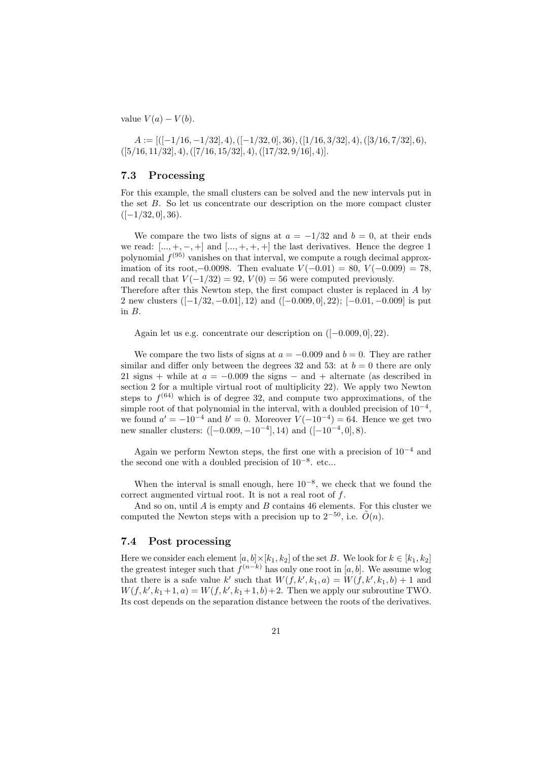value  $V(a) - V(b)$ .

 $A := [([-1/16, -1/32], 4), ([-1/32, 0], 36), ([1/16, 3/32], 4), ([3/16, 7/32], 6),$ ([5*/*16*,* 11*/*32]*,* 4)*,*([7*/*16*,* 15*/*32]*,* 4)*,*([17*/*32*,* 9*/*16]*,* 4)].

#### **7.3 Processing**

For this example, the small clusters can be solved and the new intervals put in the set *B*. So let us concentrate our description on the more compact cluster ([*−*1*/*32*,* 0]*,* 36).

We compare the two lists of signs at  $a = -1/32$  and  $b = 0$ , at their ends we read:  $[...,+,-,+]$  and  $[...,+,+,+]$  the last derivatives. Hence the degree 1 polynomial  $f^{(95)}$  vanishes on that interval, we compute a rough decimal approximation of its root,*−*0*.*0098. Then evaluate *V* (*−*0*.*01) = 80, *V* (*−*0*.*009) = 78, and recall that  $V(-1/32) = 92$ ,  $V(0) = 56$  were computed previously. Therefore after this Newton step, the first compact cluster is replaced in *A* by

2 new clusters ([*−*1*/*32*, −*0*.*01]*,* 12) and ([*−*0*.*009*,* 0]*,* 22); [*−*0*.*01*, −*0*.*009] is put in *B*.

Again let us e.g. concentrate our description on ([*−*0*.*009*,* 0]*,* 22).

We compare the two lists of signs at  $a = -0.009$  and  $b = 0$ . They are rather similar and differ only between the degrees 32 and 53: at  $b = 0$  there are only 21 signs + while at  $a = -0.009$  the signs  $-$  and  $+$  alternate (as described in section 2 for a multiple virtual root of multiplicity 22). We apply two Newton steps to  $f^{(64)}$  which is of degree 32, and compute two approximations, of the simple root of that polynomial in the interval, with a doubled precision of 10*−*<sup>4</sup> , we found  $a' = -10^{-4}$  and  $b' = 0$ . Moreover  $V(-10^{-4}) = 64$ . Hence we get two new smaller clusters: ([*−*0*.*009*, −*10*−*<sup>4</sup> ]*,* 14) and ([*−*10*−*<sup>4</sup> *,* 0]*,* 8).

Again we perform Newton steps, the first one with a precision of 10*−*<sup>4</sup> and the second one with a doubled precision of 10*−*<sup>8</sup> . etc...

When the interval is small enough, here 10*−*<sup>8</sup> , we check that we found the correct augmented virtual root. It is not a real root of *f*.

And so on, until *A* is empty and *B* contains 46 elements. For this cluster we computed the Newton steps with a precision up to  $2^{-50}$ , i.e.  $\tilde{O}(n)$ .

#### **7.4 Post processing**

Here we consider each element  $[a, b] \times [k_1, k_2]$  of the set *B*. We look for  $k \in [k_1, k_2]$ the greatest integer such that  $f^{(n-k)}$  has only one root in [ $a, b$ ]. We assume wlog that there is a safe value *k*' such that  $W(f, k', k_1, a) = W(f, k', k_1, b) + 1$  and  $W(f, k', k_1 + 1, a) = W(f, k', k_1 + 1, b) + 2$ . Then we apply our subroutine TWO. Its cost depends on the separation distance between the roots of the derivatives.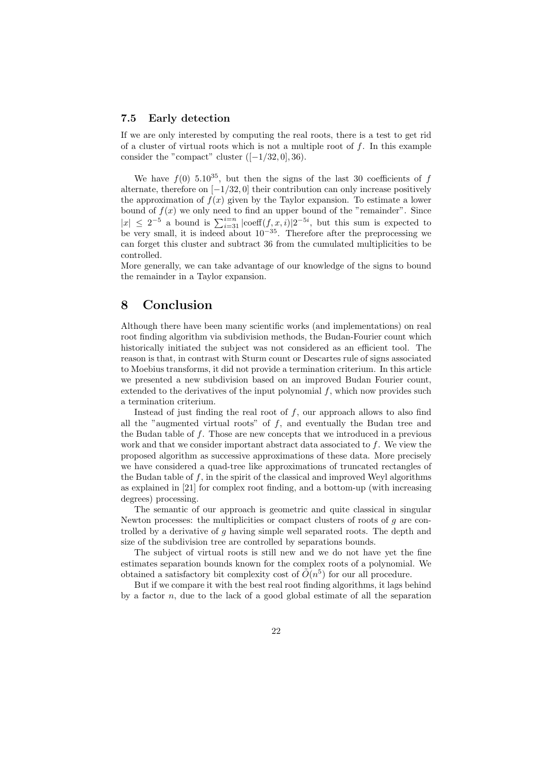#### **7.5 Early detection**

If we are only interested by computing the real roots, there is a test to get rid of a cluster of virtual roots which is not a multiple root of *f*. In this example consider the "compact" cluster  $([-1/32, 0], 36)$ .

We have  $f(0)$  5.10<sup>35</sup>, but then the signs of the last 30 coefficients of  $f$ alternate, therefore on [*−*1*/*32*,* 0] their contribution can only increase positively the approximation of  $f(x)$  given by the Taylor expansion. To estimate a lower bound of  $f(x)$  we only need to find an upper bound of the "remainder". Since  $|x|$  ≤ 2<sup>-5</sup> a bound is  $\sum_{i=31}^{i=n}$  *|*coeff(*f<sub>, x</sub>, i*)*|*2<sup>-5*i*</sup>, but this sum is expected to be very small, it is indeed about 10*−*<sup>35</sup>. Therefore after the preprocessing we can forget this cluster and subtract 36 from the cumulated multiplicities to be controlled.

More generally, we can take advantage of our knowledge of the signs to bound the remainder in a Taylor expansion.

# **8 Conclusion**

Although there have been many scientific works (and implementations) on real root finding algorithm via subdivision methods, the Budan-Fourier count which historically initiated the subject was not considered as an efficient tool. The reason is that, in contrast with Sturm count or Descartes rule of signs associated to Moebius transforms, it did not provide a termination criterium. In this article we presented a new subdivision based on an improved Budan Fourier count, extended to the derivatives of the input polynomial *f*, which now provides such a termination criterium.

Instead of just finding the real root of *f*, our approach allows to also find all the "augmented virtual roots" of *f*, and eventually the Budan tree and the Budan table of *f*. Those are new concepts that we introduced in a previous work and that we consider important abstract data associated to *f*. We view the proposed algorithm as successive approximations of these data. More precisely we have considered a quad-tree like approximations of truncated rectangles of the Budan table of  $f$ , in the spirit of the classical and improved Weyl algorithms as explained in [21] for complex root finding, and a bottom-up (with increasing degrees) processing.

The semantic of our approach is geometric and quite classical in singular Newton processes: the multiplicities or compact clusters of roots of *g* are controlled by a derivative of *g* having simple well separated roots. The depth and size of the subdivision tree are controlled by separations bounds.

The subject of virtual roots is still new and we do not have yet the fine estimates separation bounds known for the complex roots of a polynomial. We obtained a satisfactory bit complexity cost of  $\tilde{O}(n^5)$  for our all procedure.

But if we compare it with the best real root finding algorithms, it lags behind by a factor *n*, due to the lack of a good global estimate of all the separation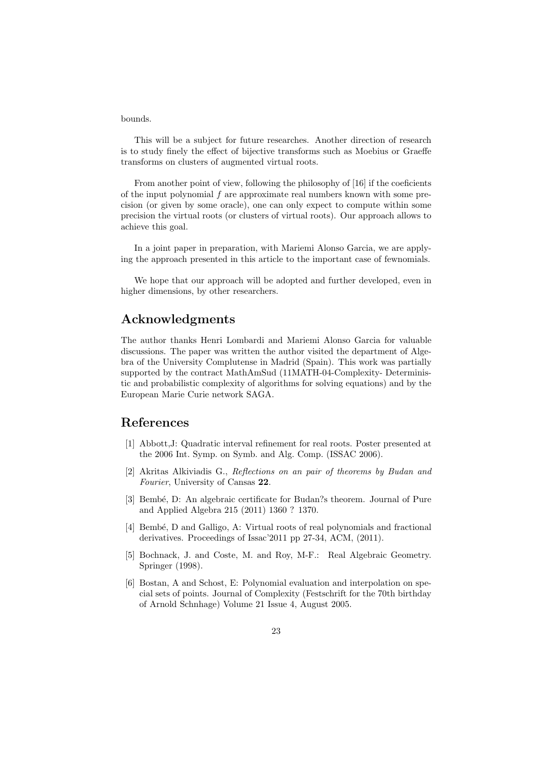bounds.

This will be a subject for future researches. Another direction of research is to study finely the effect of bijective transforms such as Moebius or Graeffe transforms on clusters of augmented virtual roots.

From another point of view, following the philosophy of [16] if the coeficients of the input polynomial *f* are approximate real numbers known with some precision (or given by some oracle), one can only expect to compute within some precision the virtual roots (or clusters of virtual roots). Our approach allows to achieve this goal.

In a joint paper in preparation, with Mariemi Alonso Garcia, we are applying the approach presented in this article to the important case of fewnomials.

We hope that our approach will be adopted and further developed, even in higher dimensions, by other researchers.

### **Acknowledgments**

The author thanks Henri Lombardi and Mariemi Alonso Garcia for valuable discussions. The paper was written the author visited the department of Algebra of the University Complutense in Madrid (Spain). This work was partially supported by the contract MathAmSud (11MATH-04-Complexity- Deterministic and probabilistic complexity of algorithms for solving equations) and by the European Marie Curie network SAGA.

# **References**

- [1] Abbott,J: Quadratic interval refinement for real roots. Poster presented at the 2006 Int. Symp. on Symb. and Alg. Comp. (ISSAC 2006).
- [2] Akritas Alkiviadis G., *Reflections on an pair of theorems by Budan and Fourier*, University of Cansas **22**.
- [3] Bembé, D: An algebraic certificate for Budan?s theorem. Journal of Pure and Applied Algebra 215 (2011) 1360 ? 1370.
- [4] Bembé, D and Galligo, A: Virtual roots of real polynomials and fractional derivatives. Proceedings of Issac'2011 pp 27-34, ACM, (2011).
- [5] Bochnack, J. and Coste, M. and Roy, M-F.: Real Algebraic Geometry. Springer (1998).
- [6] Bostan, A and Schost, E: Polynomial evaluation and interpolation on special sets of points. Journal of Complexity (Festschrift for the 70th birthday of Arnold Schnhage) Volume 21 Issue 4, August 2005.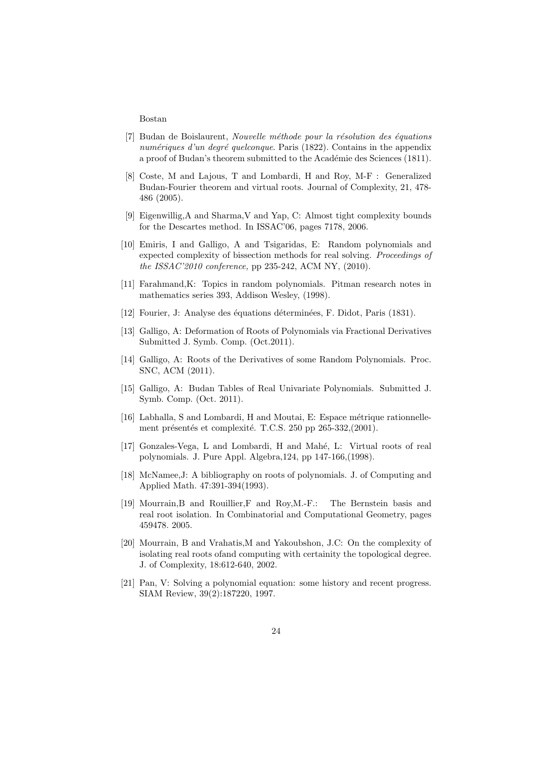#### Bostan

- [7] Budan de Boislaurent, *Nouvelle m´ethode pour la r´esolution des ´equations numériques d'un degré quelconque*. Paris (1822). Contains in the appendix a proof of Budan's theorem submitted to the Académie des Sciences (1811).
- [8] Coste, M and Lajous, T and Lombardi, H and Roy, M-F : Generalized Budan-Fourier theorem and virtual roots. Journal of Complexity, 21, 478- 486 (2005).
- [9] Eigenwillig,A and Sharma,V and Yap, C: Almost tight complexity bounds for the Descartes method. In ISSAC'06, pages 7178, 2006.
- [10] Emiris, I and Galligo, A and Tsigaridas, E: Random polynomials and expected complexity of bissection methods for real solving. *Proceedings of the ISSAC'2010 conference,* pp 235-242, ACM NY, (2010).
- [11] Farahmand,K: Topics in random polynomials. Pitman research notes in mathematics series 393, Addison Wesley, (1998).
- [12] Fourier, J: Analyse des équations déterminées, F. Didot, Paris (1831).
- [13] Galligo, A: Deformation of Roots of Polynomials via Fractional Derivatives Submitted J. Symb. Comp. (Oct.2011).
- [14] Galligo, A: Roots of the Derivatives of some Random Polynomials. Proc. SNC, ACM (2011).
- [15] Galligo, A: Budan Tables of Real Univariate Polynomials. Submitted J. Symb. Comp. (Oct. 2011).
- [16] Labhalla, S and Lombardi, H and Moutai, E: Espace métrique rationnellement présentés et complexité. T.C.S.  $250$  pp  $265-332,(2001)$ .
- [17] Gonzales-Vega, L and Lombardi, H and Mahé, L: Virtual roots of real polynomials. J. Pure Appl. Algebra,124, pp 147-166,(1998).
- [18] McNamee,J: A bibliography on roots of polynomials. J. of Computing and Applied Math. 47:391-394(1993).
- [19] Mourrain,B and Rouillier,F and Roy,M.-F.: The Bernstein basis and real root isolation. In Combinatorial and Computational Geometry, pages 459478. 2005.
- [20] Mourrain, B and Vrahatis,M and Yakoubshon, J.C: On the complexity of isolating real roots ofand computing with certainity the topological degree. J. of Complexity, 18:612-640, 2002.
- [21] Pan, V: Solving a polynomial equation: some history and recent progress. SIAM Review, 39(2):187220, 1997.